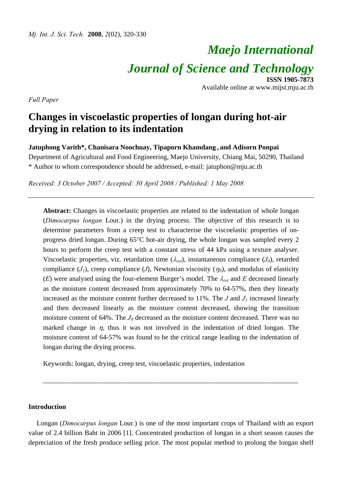# *Maejo International Journal of Science and Technology* **ISSN 1905-7873**

Available online at www.mijst.mju.ac.th

*Full Paper* 

## **Changes in viscoelastic properties of longan during hot-air drying in relation to its indentation**

**Jatuphong Varith\*, Chanisara Noochuay, Tipaporn Khamdang , and Adisorn Ponpai** 

Department of Agricultural and Food Engineering, Maejo University, Chiang Mai, 50290, Thailand \* Author to whom correspondence should be addressed, e-mail: jatuphon@mju.ac.th

*Received: 3 October 2007 / Accepted: 30 April 2008 / Published: 1 May 2008* 

**Abstract:** Changes in viscoelastic properties are related to the indentation of whole longan (*Dimocarpus longan* Lour.) in the drying process. The objective of this research is to determine parameters from a creep test to characterise the viscoelastic properties of onprogress dried longan. During 65°C hot-air drying, the whole longan was sampled every 2 hours to perform the creep test with a constant stress of 44 kPa using a texture analyser. Viscoelastic properties, viz. retardation time  $(\lambda_{ret})$ , instantaneous compliance  $(J_0)$ , retarded compliance  $(J_1)$ , creep compliance  $(J)$ , Newtonian viscosity  $(\eta_0)$ , and modulus of elasticity (*E*) were analysed using the four-element Burger's model. The  $\lambda_{ret}$  and *E* decreased linearly as the moisture content decreased from approximately 70% to 64-57%, then they linearly increased as the moisture content further decreased to 11%. The  $J$  and  $J_l$  increased linearly and then decreased linearly as the moisture content decreased, showing the transition moisture content of 64%. The  $J_0$  decreased as the moisture content decreased. There was no marked change in  $\eta$ , thus it was not involved in the indentation of dried longan. The moisture content of 64-57% was found to be the critical range leading to the indentation of longan during the drying process.

Keywords: longan, drying, creep test, viscoelastic properties, indentation

#### **Introduction**

Longan (*Dimocarpus longan* Lour*.*) is one of the most important crops of Thailand with an export value of 2.4 billion Baht in 2006 [1]. Concentrated production of longan in a short season causes the depreciation of the fresh produce selling price. The most popular method to prolong the longan shelf

\_\_\_\_\_\_\_\_\_\_\_\_\_\_\_\_\_\_\_\_\_\_\_\_\_\_\_\_\_\_\_\_\_\_\_\_\_\_\_\_\_\_\_\_\_\_\_\_\_\_\_\_\_\_\_\_\_\_\_\_\_\_\_\_\_\_\_\_\_\_\_\_\_\_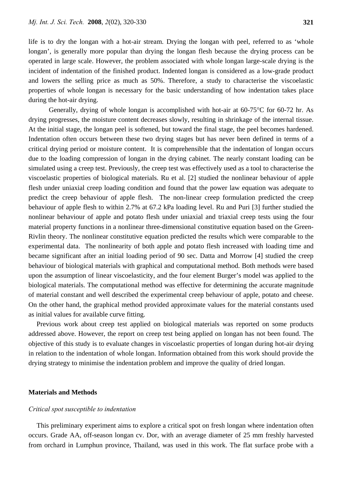life is to dry the longan with a hot-air stream. Drying the longan with peel, referred to as 'whole longan', is generally more popular than drying the longan flesh because the drying process can be operated in large scale. However, the problem associated with whole longan large-scale drying is the incident of indentation of the finished product. Indented longan is considered as a low-grade product and lowers the selling price as much as 50%. Therefore, a study to characterise the viscoelastic properties of whole longan is necessary for the basic understanding of how indentation takes place during the hot-air drying.

 Generally, drying of whole longan is accomplished with hot-air at 60-75°C for 60-72 hr. As drying progresses, the moisture content decreases slowly, resulting in shrinkage of the internal tissue. At the initial stage, the longan peel is softened, but toward the final stage, the peel becomes hardened. Indentation often occurs between these two drying stages but has never been defined in terms of a critical drying period or moisture content. It is comprehensible that the indentation of longan occurs due to the loading compression of longan in the drying cabinet. The nearly constant loading can be simulated using a creep test. Previously, the creep test was effectively used as a tool to characterise the viscoelastic properties of biological materials. Ru et al. [2] studied the nonlinear behaviour of apple flesh under uniaxial creep loading condition and found that the power law equation was adequate to predict the creep behaviour of apple flesh. The non-linear creep formulation predicted the creep behaviour of apple flesh to within 2.7% at 67.2 kPa loading level. Ru and Puri [3] further studied the nonlinear behaviour of apple and potato flesh under uniaxial and triaxial creep tests using the four material property functions in a nonlinear three-dimensional constitutive equation based on the Green-Rivlin theory. The nonlinear constitutive equation predicted the results which were comparable to the experimental data. The nonlinearity of both apple and potato flesh increased with loading time and became significant after an initial loading period of 90 sec. Datta and Morrow [4] studied the creep behaviour of biological materials with graphical and computational method. Both methods were based upon the assumption of linear viscoelasticity, and the four element Burger's model was applied to the biological materials. The computational method was effective for determining the accurate magnitude of material constant and well described the experimental creep behaviour of apple, potato and cheese. On the other hand, the graphical method provided approximate values for the material constants used as initial values for available curve fitting.

Previous work about creep test applied on biological materials was reported on some products addressed above. However, the report on creep test being applied on longan has not been found. The objective of this study is to evaluate changes in viscoelastic properties of longan during hot-air drying in relation to the indentation of whole longan. Information obtained from this work should provide the drying strategy to minimise the indentation problem and improve the quality of dried longan.

#### **Materials and Methods**

#### *Critical spot susceptible to indentation*

This preliminary experiment aims to explore a critical spot on fresh longan where indentation often occurs. Grade AA, off-season longan cv. Dor, with an average diameter of 25 mm freshly harvested from orchard in Lumphun province, Thailand, was used in this work. The flat surface probe with a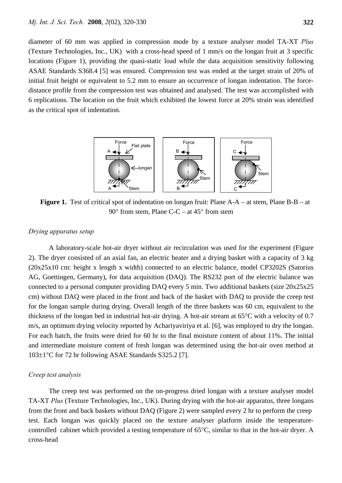diameter of 60 mm was applied in compression mode by a texture analyser model TA-XT *Plus* (Texture Technologies, Inc., UK) with a cross-head speed of 1 mm/s on the longan fruit at 3 specific locations (Figure 1), providing the quasi-static load while the data acquisition sensitivity following ASAE Standards S368.4 [5] was ensured. Compression test was ended at the target strain of 20% of initial fruit height or equivalent to 5.2 mm to ensure an occurrence of longan indentation. The forcedistance profile from the compression test was obtained and analysed. The test was accomplished with 6 replications. The location on the fruit which exhibited the lowest force at 20% strain was identified as the critical spot of indentation.



**Figure 1.** Test of critical spot of indentation on longan fruit: Plane A-A – at stem, Plane B-B – at 90° from stem, Plane C-C – at 45° from stem

#### *Drying apparatus setup*

 A laboratory-scale hot-air dryer without air recirculation was used for the experiment (Figure 2). The dryer consisted of an axial fan, an electric heater and a drying basket with a capacity of 3 kg (20x25x10 cm: height x length x width) connected to an electric balance, model CP3202S (Satorius AG, Goettingen, Germany), for data acquisition (DAQ). The RS232 port of the electric balance was connected to a personal computer providing DAQ every 5 min. Two additional baskets (size 20x25x25 cm) without DAQ were placed in the front and back of the basket with DAQ to provide the creep test for the longan sample during drying. Overall length of the three baskets was 60 cm, equivalent to the thickness of the longan bed in industrial hot-air drying. A hot-air stream at 65°C with a velocity of 0.7 m/s, an optimum drying velocity reported by Achariyaviriya et al. [6], was employed to dry the longan. For each batch, the fruits were dried for 60 hr to the final moisture content of about 11%. The initial and intermediate moisture content of fresh longan was determined using the hot-air oven method at 103±1°C for 72 hr following ASAE Standards S325.2 [7].

#### *Creep test analysis*

 The creep test was performed on the on-progress dried longan with a texture analyser model TA-XT *Plus* (Texture Technologies, Inc., UK). During drying with the hot-air apparatus, three longans from the front and back baskets without DAQ (Figure 2) were sampled every 2 hr to perform the creep test. Each longan was quickly placed on the texture analyser platform inside the temperaturecontrolled cabinet which provided a testing temperature of 65°C, similar to that in the hot-air dryer. A cross-head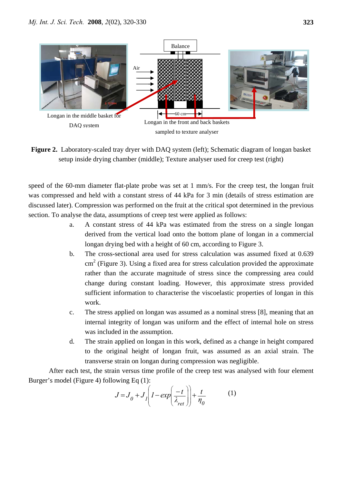

**Figure 2.** Laboratory-scaled tray dryer with DAQ system (left); Schematic diagram of longan basket setup inside drying chamber (middle); Texture analyser used for creep test (right)

speed of the 60-mm diameter flat-plate probe was set at 1 mm/s. For the creep test, the longan fruit was compressed and held with a constant stress of 44 kPa for 3 min (details of stress estimation are discussed later). Compression was performed on the fruit at the critical spot determined in the previous section. To analyse the data, assumptions of creep test were applied as follows:

- a. A constant stress of 44 kPa was estimated from the stress on a single longan derived from the vertical load onto the bottom plane of longan in a commercial longan drying bed with a height of 60 cm, according to Figure 3.
- b. The cross-sectional area used for stress calculation was assumed fixed at 0.639 cm<sup>2</sup> (Figure 3). Using a fixed area for stress calculation provided the approximate rather than the accurate magnitude of stress since the compressing area could change during constant loading. However, this approximate stress provided sufficient information to characterise the viscoelastic properties of longan in this work.
- c. The stress applied on longan was assumed as a nominal stress [8], meaning that an internal integrity of longan was uniform and the effect of internal hole on stress was included in the assumption.
- d. The strain applied on longan in this work, defined as a change in height compared to the original height of longan fruit, was assumed as an axial strain. The transverse strain on longan during compression was negligible.

 After each test, the strain versus time profile of the creep test was analysed with four element Burger's model (Figure 4) following Eq (1):

$$
J = J_0 + J_1 \left( 1 - \exp\left(\frac{-t}{\lambda_{ret}}\right) \right) + \frac{t}{\eta_0}
$$
 (1)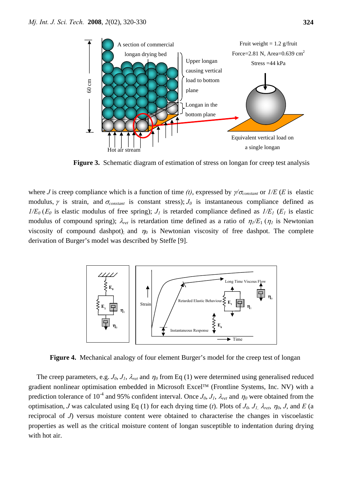

**Figure 3.** Schematic diagram of estimation of stress on longan for creep test analysis

where *J* is creep compliance which is a function of time (t), expressed by  $\gamma/\sigma_{constant}$  or  $1/E$  (*E* is elastic modulus,  $\gamma$  is strain, and  $\sigma_{constant}$  is constant stress);  $J_0$  is instantaneous compliance defined as  $1/E_0(E_0)$  is elastic modulus of free spring);  $J_1$  is retarded compliance defined as  $1/E_1(E_1)$  is elastic modulus of compound spring);  $\lambda_{ret}$  is retardation time defined as a ratio of  $\eta_1/E_1(\eta_1)$  is Newtonian viscosity of compound dashpot); and  $\eta_0$  is Newtonian viscosity of free dashpot. The complete derivation of Burger's model was described by Steffe [9].



**Figure 4.** Mechanical analogy of four element Burger's model for the creep test of longan

The creep parameters, e.g.  $J_0$ ,  $J_1$ ,  $\lambda_{ret}$  and  $\eta_0$  from Eq (1) were determined using generalised reduced gradient nonlinear optimisation embedded in Microsoft Excel™ (Frontline Systems, Inc. NV) with a prediction tolerance of 10<sup>-4</sup> and 95% confident interval. Once  $J_0$ ,  $J_1$ ,  $\lambda_{ret}$  and  $\eta_0$  were obtained from the optimisation, *J* was calculated using Eq (1) for each drying time (*t*). Plots of  $J_0$ ,  $J_1$ ,  $\lambda_{ret}$ ,  $\eta_0$ , *J*, and *E* (a reciprocal of *J*) versus moisture content were obtained to characterise the changes in viscoelastic properties as well as the critical moisture content of longan susceptible to indentation during drying with hot air.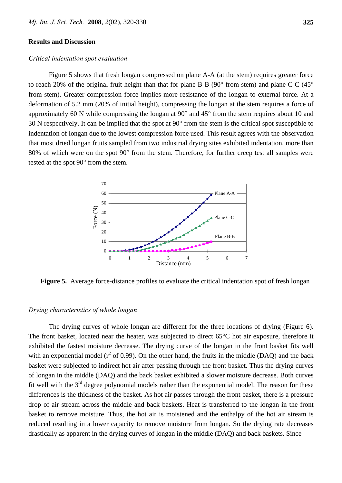#### **Results and Discussion**

#### *Critical indentation spot evaluation*

Figure 5 shows that fresh longan compressed on plane A-A (at the stem) requires greater force to reach 20% of the original fruit height than that for plane B-B (90° from stem) and plane C-C (45° from stem). Greater compression force implies more resistance of the longan to external force. At a deformation of 5.2 mm (20% of initial height), compressing the longan at the stem requires a force of approximately 60 N while compressing the longan at 90° and 45° from the stem requires about 10 and 30 N respectively. It can be implied that the spot at 90° from the stem is the critical spot susceptible to indentation of longan due to the lowest compression force used. This result agrees with the observation that most dried longan fruits sampled from two industrial drying sites exhibited indentation, more than 80% of which were on the spot 90° from the stem. Therefore, for further creep test all samples were tested at the spot 90° from the stem.



**Figure 5.** Average force-distance profiles to evaluate the critical indentation spot of fresh longan

#### *Drying characteristics of whole longan*

The drying curves of whole longan are different for the three locations of drying (Figure 6). The front basket, located near the heater, was subjected to direct 65°C hot air exposure, therefore it exhibited the fastest moisture decrease. The drying curve of the longan in the front basket fits well with an exponential model ( $r^2$  of 0.99). On the other hand, the fruits in the middle (DAQ) and the back basket were subjected to indirect hot air after passing through the front basket. Thus the drying curves of longan in the middle (DAQ) and the back basket exhibited a slower moisture decrease. Both curves fit well with the  $3<sup>rd</sup>$  degree polynomial models rather than the exponential model. The reason for these differences is the thickness of the basket. As hot air passes through the front basket, there is a pressure drop of air stream across the middle and back baskets. Heat is transferred to the longan in the front basket to remove moisture. Thus, the hot air is moistened and the enthalpy of the hot air stream is reduced resulting in a lower capacity to remove moisture from longan. So the drying rate decreases drastically as apparent in the drying curves of longan in the middle (DAQ) and back baskets. Since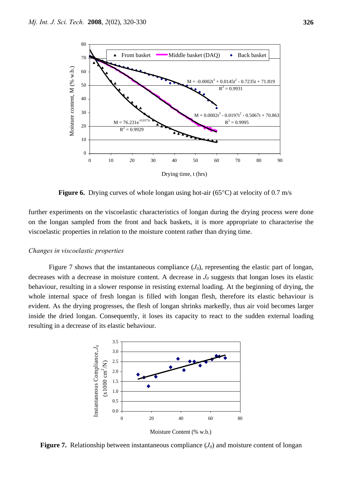

**Figure 6.** Drying curves of whole longan using hot-air (65<sup>o</sup>C) at velocity of 0.7 m/s

further experiments on the viscoelastic characteristics of longan during the drying process were done on the longan sampled from the front and back baskets, it is more appropriate to characterise the viscoelastic properties in relation to the moisture content rather than drying time.

#### *Changes in viscoelastic properties*

Figure 7 shows that the instantaneous compliance  $(J_0)$ , representing the elastic part of longan, decreases with a decrease in moisture content. A decrease in  $J_0$  suggests that longan loses its elastic behaviour, resulting in a slower response in resisting external loading. At the beginning of drying, the whole internal space of fresh longan is filled with longan flesh, therefore its elastic behaviour is evident. As the drying progresses, the flesh of longan shrinks markedly, thus air void becomes larger inside the dried longan. Consequently, it loses its capacity to react to the sudden external loading resulting in a decrease of its elastic behaviour.





**Figure 7.** Relationship between instantaneous compliance  $(J_0)$  and moisture content of longan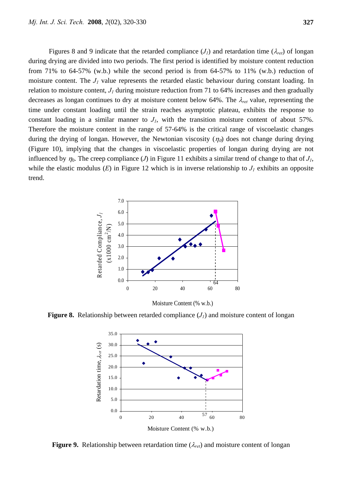Figures 8 and 9 indicate that the retarded compliance  $(J<sub>I</sub>)$  and retardation time  $(\lambda_{ret})$  of longan during drying are divided into two periods. The first period is identified by moisture content reduction from 71% to 64-57% (w.b.) while the second period is from 64-57% to 11% (w.b.) reduction of moisture content. The *J1* value represents the retarded elastic behaviour during constant loading. In relation to moisture content,  $J<sub>I</sub>$  during moisture reduction from 71 to 64% increases and then gradually decreases as longan continues to dry at moisture content below 64%. The λ*ret* value, representing the time under constant loading until the strain reaches asymptotic plateau, exhibits the response to constant loading in a similar manner to  $J_1$ , with the transition moisture content of about 57%. Therefore the moisture content in the range of 57-64% is the critical range of viscoelastic changes during the drying of longan. However, the Newtonian viscosity  $(\eta_{0})$  does not change during drying (Figure 10), implying that the changes in viscoelastic properties of longan during drying are not influenced by  $\eta_0$ . The creep compliance (*J*) in Figure 11 exhibits a similar trend of change to that of  $J_1$ , while the elastic modulus  $(E)$  in Figure 12 which is in inverse relationship to  $J<sub>I</sub>$  exhibits an opposite trend.



Moisture Content (% w.b.)

**Figure 8.** Relationship between retarded compliance  $(J<sub>I</sub>)$  and moisture content of longan



**Figure 9.** Relationship between retardation time (λ*ret*) and moisture content of longan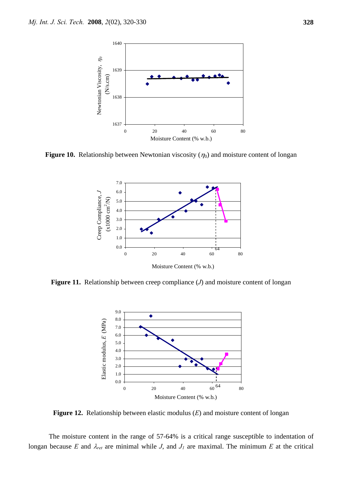

**Figure 10.** Relationship between Newtonian viscosity  $(\eta_0)$  and moisture content of longan



**Figure 11.** Relationship between creep compliance (*J*) and moisture content of longan



**Figure 12.** Relationship between elastic modulus (*E*) and moisture content of longan

 The moisture content in the range of 57-64% is a critical range susceptible to indentation of longan because *E* and  $\lambda_{ret}$  are minimal while *J*, and  $J_1$  are maximal. The minimum *E* at the critical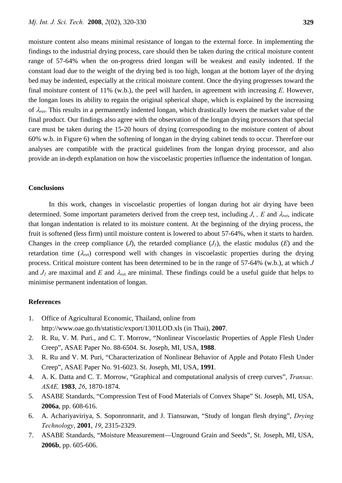moisture content also means minimal resistance of longan to the external force. In implementing the findings to the industrial drying process, care should then be taken during the critical moisture content range of 57-64% when the on-progress dried longan will be weakest and easily indented. If the constant load due to the weight of the drying bed is too high, longan at the bottom layer of the drying bed may be indented, especially at the critical moisture content. Once the drying progresses toward the final moisture content of 11% (w.b.), the peel will harden, in agreement with increasing *E*. However, the longan loses its ability to regain the original spherical shape, which is explained by the increasing of λ*ret*. This results in a permanently indented longan, which drastically lowers the market value of the final product. Our findings also agree with the observation of the longan drying processors that special care must be taken during the 15-20 hours of drying (corresponding to the moisture content of about 60% w.b. in Figure 6) when the softening of longan in the drying cabinet tends to occur. Therefore our analyses are compatible with the practical guidelines from the longan drying processor, and also provide an in-depth explanation on how the viscoelastic properties influence the indentation of longan.

#### **Conclusions**

 In this work, changes in viscoelastic properties of longan during hot air drying have been determined. Some important parameters derived from the creep test, including *J*, *, E* and λ*ret*, indicate that longan indentation is related to its moisture content. At the beginning of the drying process, the fruit is softened (less firm) until moisture content is lowered to about 57-64%, when it starts to harden. Changes in the creep compliance  $(J)$ , the retarded compliance  $(J)$ , the elastic modulus  $(E)$  and the retardation time (λ*re*t) correspond well with changes in viscoelastic properties during the drying process. Critical moisture content has been determined to be in the range of 57-64% (w.b.), at which *J*  and  $J_1$  are maximal and *E* and  $\lambda_{ret}$  are minimal. These findings could be a useful guide that helps to minimise permanent indentation of longan.

### **References**

- 1. Office of Agricultural Economic, Thailand, online from http://www.oae.go.th/statistic/export/1301LOD.xls (in Thai), **2007**.
- 2. R. Ru, V. M. Puri., and C. T. Morrow, "Nonlinear Viscoelastic Properties of Apple Flesh Under Creep", ASAE Paper No. 88-6504. St. Joseph, MI, USA, **1988**.
- 3. R. Ru and V. M. Puri, "Characterization of Nonlinear Behavior of Apple and Potato Flesh Under Creep", ASAE Paper No. 91-6023. St. Joseph, MI, USA, **1991**.
- 4. A. K. Datta and C. T. Morrow, "Graphical and computational analysis of creep curves", *Transac. ASAE,* **1983**, *26*, 1870-1874.
- 5. ASABE Standards, "Compression Test of Food Materials of Convex Shape" St. Joseph, MI, USA, **2006a**, pp. 608-616.
- 6. A. Achariyaviriya, S. Soponronnarit, and J. Tiansuwan, "Study of longan flesh drying", *Drying Technology*, **2001**, *19*, 2315-2329.
- 7. ASABE Standards, "Moisture Measurement—Unground Grain and Seeds", St. Joseph, MI, USA, **2006b**, pp. 605-606.